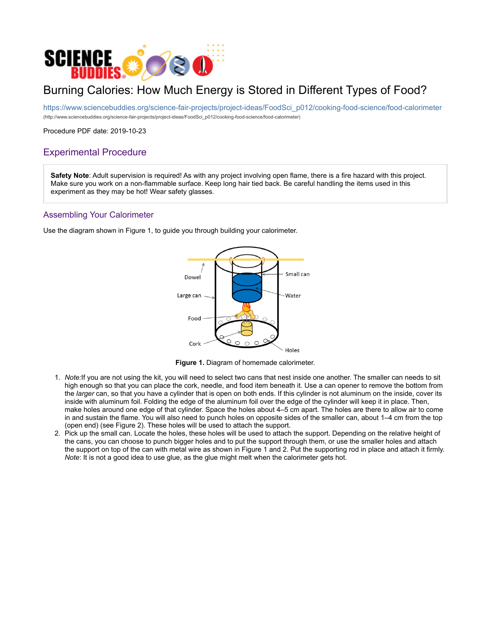

# Burning Calories: How Much Energy is Stored in Different Types of Food?

https://www.sciencebuddies.org/science-fair-projects/project-ideas/FoodSci\_p012/cooking-food-science/food-calorimeter (http://www.sciencebuddies.org/science-fair-projects/project-ideas/FoodSci\_p012/cooking-food-science/food-calorimeter)

Procedure PDF date: 2019-10-23

## Experimental Procedure

Safety Note: Adult supervision is required! As with any project involving open flame, there is a fire hazard with this project. Make sure you work on a non-flammable surface. Keep long hair tied back. Be careful handling the items used in this experiment as they may be hot! Wear safety glasses.

### Assembling Your Calorimeter

Use the diagram shown in Figure 1, to guide you through building your calorimeter.



Figure 1. Diagram of homemade calorimeter.

- 1. Note:If you are not using the kit, you will need to select two cans that nest inside one another. The smaller can needs to sit high enough so that you can place the cork, needle, and food item beneath it. Use a can opener to remove the bottom from the larger can, so that you have a cylinder that is open on both ends. If this cylinder is not aluminum on the inside, cover its inside with aluminum foil. Folding the edge of the aluminum foil over the edge of the cylinder will keep it in place. Then, make holes around one edge of that cylinder. Space the holes about 4–5 cm apart. The holes are there to allow air to come in and sustain the flame. You will also need to punch holes on opposite sides of the smaller can, about 1–4 cm from the top (open end) (see Figure 2). These holes will be used to attach the support.
- 2. Pick up the small can. Locate the holes, these holes will be used to attach the support. Depending on the relative height of the cans, you can choose to punch bigger holes and to put the support through them, or use the smaller holes and attach the support on top of the can with metal wire as shown in Figure 1 and 2. Put the supporting rod in place and attach it firmly. Note: It is not a good idea to use glue, as the glue might melt when the calorimeter gets hot.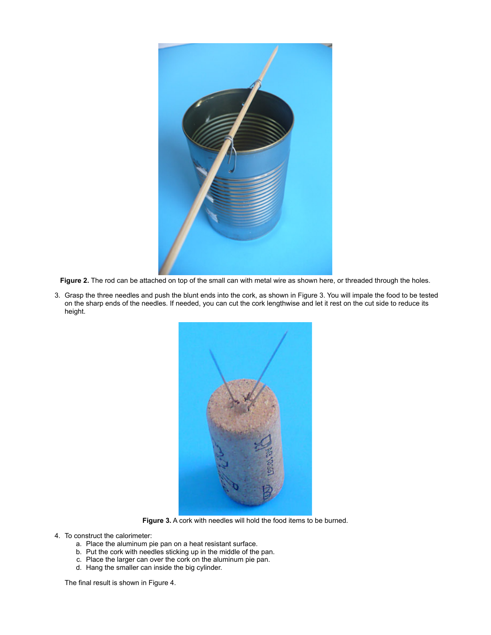

Figure 2. The rod can be attached on top of the small can with metal wire as shown here, or threaded through the holes.

3. Grasp the three needles and push the blunt ends into the cork, as shown in Figure 3. You will impale the food to be tested on the sharp ends of the needles. If needed, you can cut the cork lengthwise and let it rest on the cut side to reduce its height.



Figure 3. A cork with needles will hold the food items to be burned.

- 4. To construct the calorimeter:
	- a. Place the aluminum pie pan on a heat resistant surface.
	- b. Put the cork with needles sticking up in the middle of the pan.
	- c. Place the larger can over the cork on the aluminum pie pan.
	- d. Hang the smaller can inside the big cylinder.

The final result is shown in Figure 4.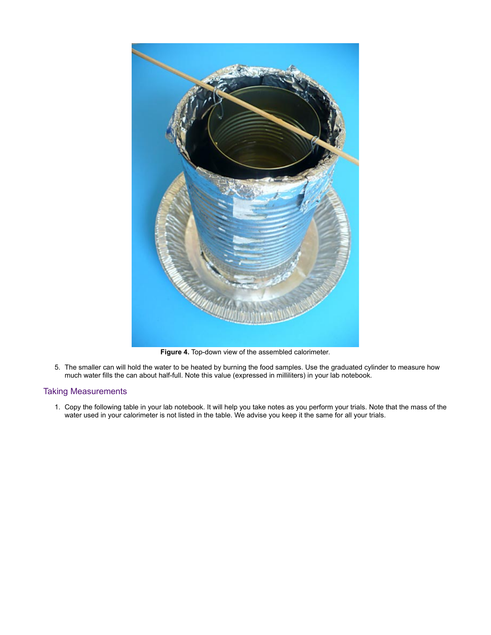

Figure 4. Top-down view of the assembled calorimeter.

5. The smaller can will hold the water to be heated by burning the food samples. Use the graduated cylinder to measure how much water fills the can about half-full. Note this value (expressed in milliliters) in your lab notebook.

### Taking Measurements

1. Copy the following table in your lab notebook. It will help you take notes as you perform your trials. Note that the mass of the water used in your calorimeter is not listed in the table. We advise you keep it the same for all your trials.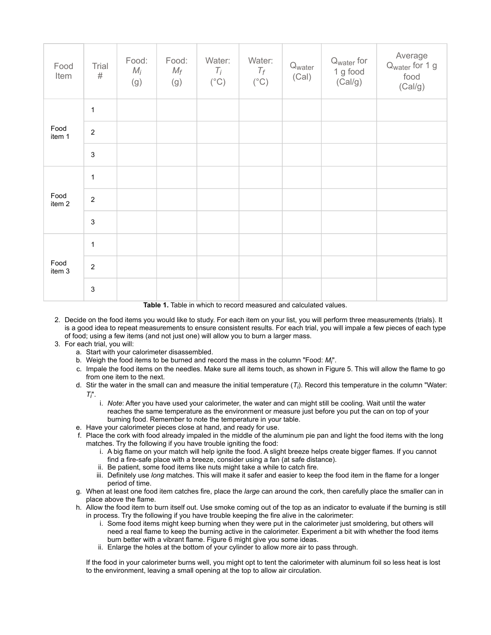| Food<br>Item   | Trial<br>$\#$             | Food:<br>$M_i$<br>(g) | Food:<br>$M_f$<br>(g) | Water:<br>$T_i$<br>$(^{\circ}C)$ | Water:<br>$T_f$<br>$(^\circ C)$ | Q <sub>water</sub><br>(Cal) | Q <sub>water</sub> for<br>1 g food<br>(Cal/g) | Average<br>Q <sub>water</sub> for 1 g<br>food<br>(Cal/g) |
|----------------|---------------------------|-----------------------|-----------------------|----------------------------------|---------------------------------|-----------------------------|-----------------------------------------------|----------------------------------------------------------|
| Food<br>item 1 | $\mathbf{1}$              |                       |                       |                                  |                                 |                             |                                               |                                                          |
|                | $\boldsymbol{2}$          |                       |                       |                                  |                                 |                             |                                               |                                                          |
|                | $\mathbf 3$               |                       |                       |                                  |                                 |                             |                                               |                                                          |
| Food<br>item 2 | $\mathbf{1}$              |                       |                       |                                  |                                 |                             |                                               |                                                          |
|                | $\boldsymbol{2}$          |                       |                       |                                  |                                 |                             |                                               |                                                          |
|                | $\ensuremath{\mathsf{3}}$ |                       |                       |                                  |                                 |                             |                                               |                                                          |
| Food<br>item 3 | $\mathbf{1}$              |                       |                       |                                  |                                 |                             |                                               |                                                          |
|                | $\boldsymbol{2}$          |                       |                       |                                  |                                 |                             |                                               |                                                          |
|                | $\mathsf 3$               |                       | - -                   |                                  |                                 |                             |                                               |                                                          |

Table 1. Table in which to record measured and calculated values.

- 2. Decide on the food items you would like to study. For each item on your list, you will perform three measurements (trials). It is a good idea to repeat measurements to ensure consistent results. For each trial, you will impale a few pieces of each type of food; using a few items (and not just one) will allow you to burn a larger mass.
- 3. For each trial, you will:
	- a. Start with your calorimeter disassembled.
	- b. Weigh the food items to be burned and record the mass in the column "Food:  $M_i$ ".
	- c. Impale the food items on the needles. Make sure all items touch, as shown in Figure 5. This will allow the flame to go from one item to the next.
	- d. Stir the water in the small can and measure the initial temperature  $(T_i)$ . Record this temperature in the column "Water:  $T_i$ ".
		- i. Note: After you have used your calorimeter, the water and can might still be cooling. Wait until the water reaches the same temperature as the environment or measure just before you put the can on top of your burning food. Remember to note the temperature in your table.
	- e. Have your calorimeter pieces close at hand, and ready for use.
	- f. Place the cork with food already impaled in the middle of the aluminum pie pan and light the food items with the long matches. Try the following if you have trouble igniting the food:
		- i. A big flame on your match will help ignite the food. A slight breeze helps create bigger flames. If you cannot find a fire-safe place with a breeze, consider using a fan (at safe distance).
		- ii. Be patient, some food items like nuts might take a while to catch fire.
		- iii. Definitely use long matches. This will make it safer and easier to keep the food item in the flame for a longer period of time.
	- g. When at least one food item catches fire, place the large can around the cork, then carefully place the smaller can in place above the flame.
	- h. Allow the food item to burn itself out. Use smoke coming out of the top as an indicator to evaluate if the burning is still in process. Try the following if you have trouble keeping the fire alive in the calorimeter:
		- i. Some food items might keep burning when they were put in the calorimeter just smoldering, but others will need a real flame to keep the burning active in the calorimeter. Experiment a bit with whether the food items burn better with a vibrant flame. Figure 6 might give you some ideas.
		- ii. Enlarge the holes at the bottom of your cylinder to allow more air to pass through.

If the food in your calorimeter burns well, you might opt to tent the calorimeter with aluminum foil so less heat is lost to the environment, leaving a small opening at the top to allow air circulation.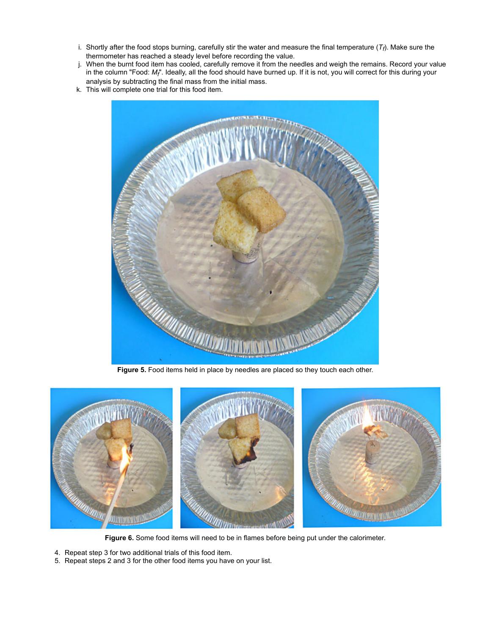- i. Shortly after the food stops burning, carefully stir the water and measure the final temperature  $(\mathcal{T}_f)$ . Make sure the thermometer has reached a steady level before recording the value.
- j. When the burnt food item has cooled, carefully remove it from the needles and weigh the remains. Record your value in the column "Food:  $M_f$ ". Ideally, all the food should have burned up. If it is not, you will correct for this during your analysis by subtracting the final mass from the initial mass.
- k. This will complete one trial for this food item.



Figure 5. Food items held in place by needles are placed so they touch each other.



Figure 6. Some food items will need to be in flames before being put under the calorimeter.

- 4. Repeat step 3 for two additional trials of this food item.
- 5. Repeat steps 2 and 3 for the other food items you have on your list.